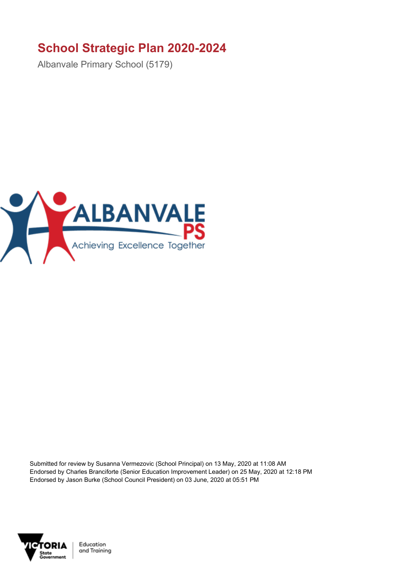## **School Strategic Plan 2020-2024**

Albanvale Primary School (5179)



Submitted for review by Susanna Vermezovic (School Principal) on 13 May, 2020 at 11:08 AM Endorsed by Charles Branciforte (Senior Education Improvement Leader) on 25 May, 2020 at 12:18 PM Endorsed by Jason Burke (School Council President) on 03 June, 2020 at 05:51 PM



Education and Training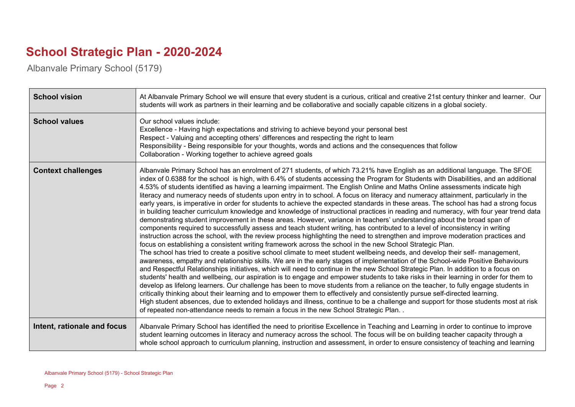## **School Strategic Plan - 2020-2024**

Albanvale Primary School (5179)

| <b>School vision</b>        | At Albanvale Primary School we will ensure that every student is a curious, critical and creative 21st century thinker and learner. Our<br>students will work as partners in their learning and be collaborative and socially capable citizens in a global society.                                                                                                                                                                                                                                                                                                                                                                                                                                                                                                                                                                                                                                                                                                                                                                                                                                                                                                                                                                                                                                                                                                                                                                                                                                                                                                                                                                                                                                                                                                                                                                                                                                                                                                                                                                                                                                                                                                                                                                                                                                                                                                                   |
|-----------------------------|---------------------------------------------------------------------------------------------------------------------------------------------------------------------------------------------------------------------------------------------------------------------------------------------------------------------------------------------------------------------------------------------------------------------------------------------------------------------------------------------------------------------------------------------------------------------------------------------------------------------------------------------------------------------------------------------------------------------------------------------------------------------------------------------------------------------------------------------------------------------------------------------------------------------------------------------------------------------------------------------------------------------------------------------------------------------------------------------------------------------------------------------------------------------------------------------------------------------------------------------------------------------------------------------------------------------------------------------------------------------------------------------------------------------------------------------------------------------------------------------------------------------------------------------------------------------------------------------------------------------------------------------------------------------------------------------------------------------------------------------------------------------------------------------------------------------------------------------------------------------------------------------------------------------------------------------------------------------------------------------------------------------------------------------------------------------------------------------------------------------------------------------------------------------------------------------------------------------------------------------------------------------------------------------------------------------------------------------------------------------------------------|
| <b>School values</b>        | Our school values include:<br>Excellence - Having high expectations and striving to achieve beyond your personal best<br>Respect - Valuing and accepting others' differences and respecting the right to learn<br>Responsibility - Being responsible for your thoughts, words and actions and the consequences that follow<br>Collaboration - Working together to achieve agreed goals                                                                                                                                                                                                                                                                                                                                                                                                                                                                                                                                                                                                                                                                                                                                                                                                                                                                                                                                                                                                                                                                                                                                                                                                                                                                                                                                                                                                                                                                                                                                                                                                                                                                                                                                                                                                                                                                                                                                                                                                |
| <b>Context challenges</b>   | Albanvale Primary School has an enrolment of 271 students, of which 73.21% have English as an additional language. The SFOE<br>index of 0.6388 for the school is high, with 6.4% of students accessing the Program for Students with Disabilities, and an additional<br>4.53% of students identified as having a learning impairment. The English Online and Maths Online assessments indicate high<br>literacy and numeracy needs of students upon entry in to school. A focus on literacy and numeracy attainment, particularly in the<br>early years, is imperative in order for students to achieve the expected standards in these areas. The school has had a strong focus<br>in building teacher curriculum knowledge and knowledge of instructional practices in reading and numeracy, with four year trend data<br>demonstrating student improvement in these areas. However, variance in teachers' understanding about the broad span of<br>components required to successfully assess and teach student writing, has contributed to a level of inconsistency in writing<br>instruction across the school, with the review process highlighting the need to strengthen and improve moderation practices and<br>focus on establishing a consistent writing framework across the school in the new School Strategic Plan.<br>The school has tried to create a positive school climate to meet student wellbeing needs, and develop their self- management,<br>awareness, empathy and relationship skills. We are in the early stages of implementation of the School-wide Positive Behaviours<br>and Respectful Relationships initiatives, which will need to continue in the new School Strategic Plan. In addition to a focus on<br>students' health and wellbeing, our aspiration is to engage and empower students to take risks in their learning in order for them to<br>develop as lifelong learners. Our challenge has been to move students from a reliance on the teacher, to fully engage students in<br>critically thinking about their learning and to empower them to effectively and consistently pursue self-directed learning.<br>High student absences, due to extended holidays and illness, continue to be a challenge and support for those students most at risk<br>of repeated non-attendance needs to remain a focus in the new School Strategic Plan |
| Intent, rationale and focus | Albanvale Primary School has identified the need to prioritise Excellence in Teaching and Learning in order to continue to improve<br>student learning outcomes in literacy and numeracy across the school. The focus will be on building teacher capacity through a<br>whole school approach to curriculum planning, instruction and assessment, in order to ensure consistency of teaching and learning                                                                                                                                                                                                                                                                                                                                                                                                                                                                                                                                                                                                                                                                                                                                                                                                                                                                                                                                                                                                                                                                                                                                                                                                                                                                                                                                                                                                                                                                                                                                                                                                                                                                                                                                                                                                                                                                                                                                                                             |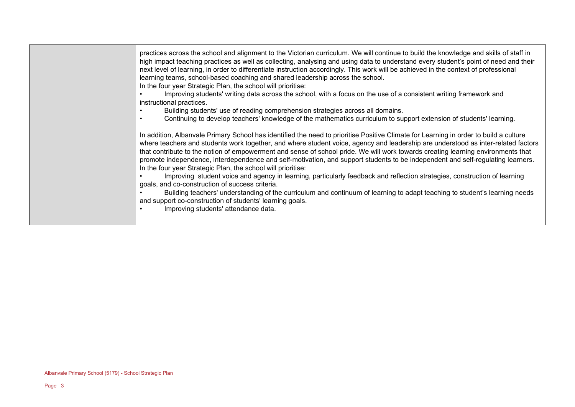practices across the school and alignment to the Victorian curriculum. We will continue to build the knowledge and skills of staff in high impact teaching practices as well as collecting, analysing and using data to understand every student's point of need and their next level of learning, in order to differentiate instruction accordingly. This work will be achieved in the context of professional learning teams, school-based coaching and shared leadership across the school. In the four year Strategic Plan, the school will prioritise:

• Improving students' writing data across the school, with a focus on the use of a consistent writing framework and

instructional practices.

- Building students' use of reading comprehension strategies across all domains.
- Continuing to develop teachers' knowledge of the mathematics curriculum to support extension of students' learning.

In addition, Albanvale Primary School has identified the need to prioritise Positive Climate for Learning in order to build a culture where teachers and students work together, and where student voice, agency and leadership are understood as inter-related factors that contribute to the notion of empowerment and sense of school pride. We will work towards creating learning environments that promote independence, interdependence and self-motivation, and support students to be independent and self-regulating learners. In the four year Strategic Plan, the school will prioritise:

• Improving student voice and agency in learning, particularly feedback and reflection strategies, construction of learning goals, and co-construction of success criteria.

• Building teachers' understanding of the curriculum and continuum of learning to adapt teaching to student's learning needs and support co-construction of students' learning goals.

• Improving students' attendance data.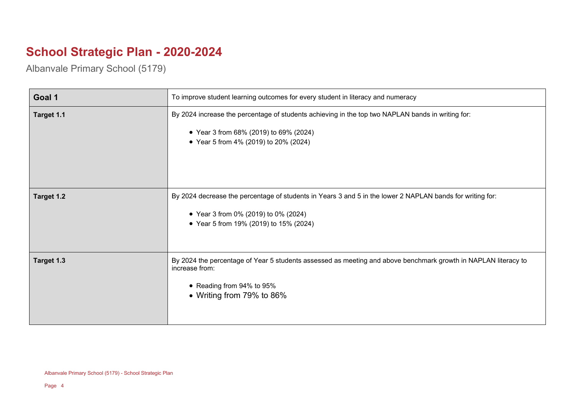## **School Strategic Plan - 2020-2024**

Albanvale Primary School (5179)

| Goal 1     | To improve student learning outcomes for every student in literacy and numeracy                                                                                                             |
|------------|---------------------------------------------------------------------------------------------------------------------------------------------------------------------------------------------|
| Target 1.1 | By 2024 increase the percentage of students achieving in the top two NAPLAN bands in writing for:<br>• Year 3 from 68% (2019) to 69% (2024)<br>• Year 5 from 4% (2019) to 20% (2024)        |
| Target 1.2 | By 2024 decrease the percentage of students in Years 3 and 5 in the lower 2 NAPLAN bands for writing for:<br>• Year 3 from 0% (2019) to 0% (2024)<br>• Year 5 from 19% (2019) to 15% (2024) |
| Target 1.3 | By 2024 the percentage of Year 5 students assessed as meeting and above benchmark growth in NAPLAN literacy to<br>increase from:<br>• Reading from 94% to 95%<br>• Writing from 79% to 86%  |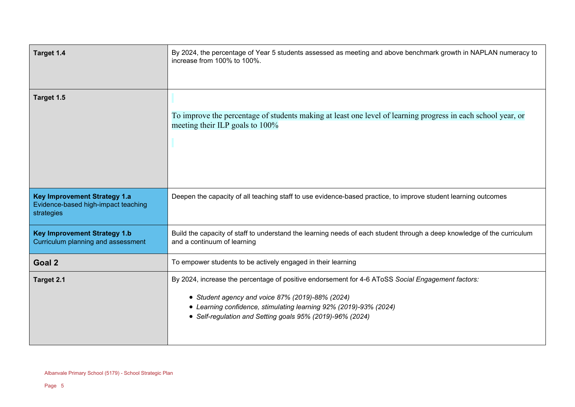| Target 1.4                                                                               | By 2024, the percentage of Year 5 students assessed as meeting and above benchmark growth in NAPLAN numeracy to<br>increase from 100% to 100%.                                                                                                                                          |
|------------------------------------------------------------------------------------------|-----------------------------------------------------------------------------------------------------------------------------------------------------------------------------------------------------------------------------------------------------------------------------------------|
| Target 1.5                                                                               | To improve the percentage of students making at least one level of learning progress in each school year, or<br>meeting their ILP goals to 100%                                                                                                                                         |
| <b>Key Improvement Strategy 1.a</b><br>Evidence-based high-impact teaching<br>strategies | Deepen the capacity of all teaching staff to use evidence-based practice, to improve student learning outcomes                                                                                                                                                                          |
| <b>Key Improvement Strategy 1.b</b><br>Curriculum planning and assessment                | Build the capacity of staff to understand the learning needs of each student through a deep knowledge of the curriculum<br>and a continuum of learning                                                                                                                                  |
| Goal 2                                                                                   | To empower students to be actively engaged in their learning                                                                                                                                                                                                                            |
| Target 2.1                                                                               | By 2024, increase the percentage of positive endorsement for 4-6 AToSS Social Engagement factors:<br>• Student agency and voice 87% (2019)-88% (2024)<br>• Learning confidence, stimulating learning 92% (2019)-93% (2024)<br>• Self-regulation and Setting goals 95% (2019)-96% (2024) |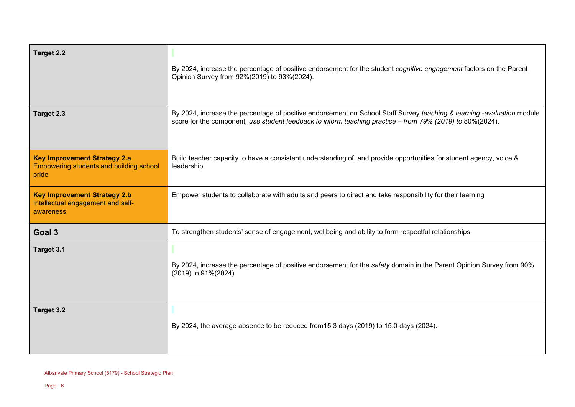| Target 2.2                                                                                     | By 2024, increase the percentage of positive endorsement for the student cognitive engagement factors on the Parent<br>Opinion Survey from 92%(2019) to 93%(2024).                                                                  |
|------------------------------------------------------------------------------------------------|-------------------------------------------------------------------------------------------------------------------------------------------------------------------------------------------------------------------------------------|
| Target 2.3                                                                                     | By 2024, increase the percentage of positive endorsement on School Staff Survey teaching & learning -evaluation module<br>score for the component, use student feedback to inform teaching practice - from 79% (2019) to 80%(2024). |
| <b>Key Improvement Strategy 2.a</b><br><b>Empowering students and building school</b><br>pride | Build teacher capacity to have a consistent understanding of, and provide opportunities for student agency, voice &<br>leadership                                                                                                   |
| <b>Key Improvement Strategy 2.b</b><br>Intellectual engagement and self-<br>awareness          | Empower students to collaborate with adults and peers to direct and take responsibility for their learning                                                                                                                          |
| Goal 3                                                                                         | To strengthen students' sense of engagement, wellbeing and ability to form respectful relationships                                                                                                                                 |
| Target 3.1                                                                                     | By 2024, increase the percentage of positive endorsement for the safety domain in the Parent Opinion Survey from 90%<br>(2019) to 91%(2024).                                                                                        |
| Target 3.2                                                                                     | By 2024, the average absence to be reduced from 15.3 days (2019) to 15.0 days (2024).                                                                                                                                               |